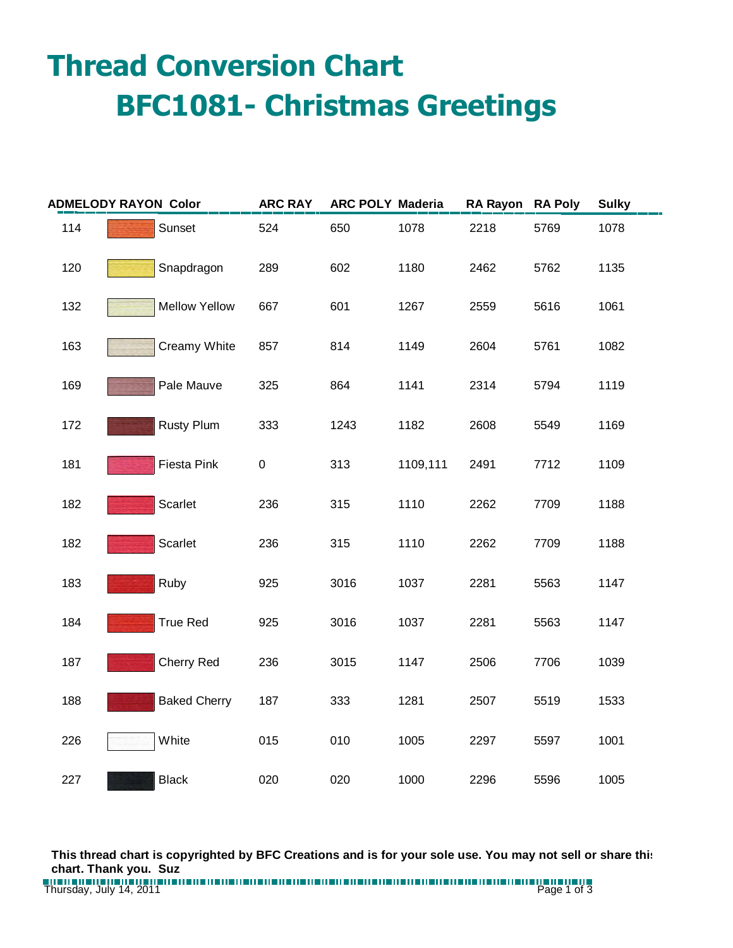## **Thread Conversion Chart BFC1081- Christmas Greetings**

| <b>ADMELODY RAYON Color</b> |                      | <b>ARC RAY</b> | <b>ARC POLY Maderia</b> |          | RA Rayon RA Poly |      | <b>Sulky</b> |
|-----------------------------|----------------------|----------------|-------------------------|----------|------------------|------|--------------|
| 114                         | Sunset               | 524            | 650                     | 1078     | 2218             | 5769 | 1078         |
| 120                         | Snapdragon           | 289            | 602                     | 1180     | 2462             | 5762 | 1135         |
| 132                         | <b>Mellow Yellow</b> | 667            | 601                     | 1267     | 2559             | 5616 | 1061         |
| 163                         | Creamy White         | 857            | 814                     | 1149     | 2604             | 5761 | 1082         |
| 169                         | Pale Mauve           | 325            | 864                     | 1141     | 2314             | 5794 | 1119         |
| 172                         | <b>Rusty Plum</b>    | 333            | 1243                    | 1182     | 2608             | 5549 | 1169         |
| 181                         | Fiesta Pink          | $\pmb{0}$      | 313                     | 1109,111 | 2491             | 7712 | 1109         |
| 182                         | Scarlet              | 236            | 315                     | 1110     | 2262             | 7709 | 1188         |
| 182                         | Scarlet              | 236            | 315                     | 1110     | 2262             | 7709 | 1188         |
| 183                         | Ruby                 | 925            | 3016                    | 1037     | 2281             | 5563 | 1147         |
| 184                         | <b>True Red</b>      | 925            | 3016                    | 1037     | 2281             | 5563 | 1147         |
| 187                         | <b>Cherry Red</b>    | 236            | 3015                    | 1147     | 2506             | 7706 | 1039         |
| 188                         | <b>Baked Cherry</b>  | 187            | 333                     | 1281     | 2507             | 5519 | 1533         |
| 226                         | White                | 015            | 010                     | 1005     | 2297             | 5597 | 1001         |
| 227                         | <b>Black</b>         | 020            | 020                     | 1000     | 2296             | 5596 | 1005         |

**This thread chart is copyrighted by BFC Creations and is for your sole use. You may not sell or share this chart. Thank you. Suz**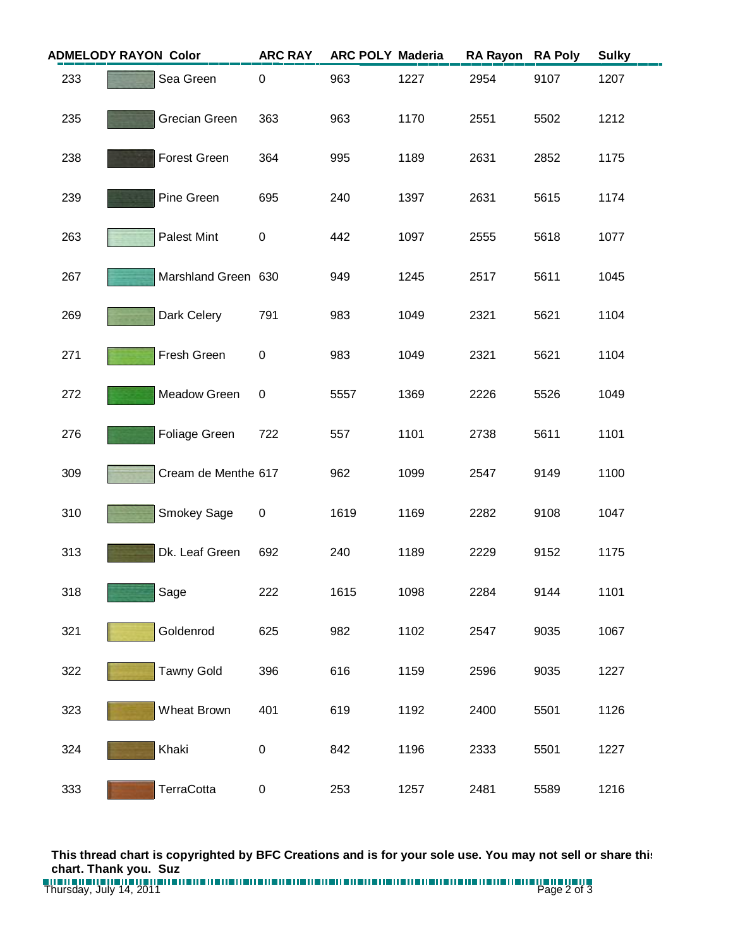| <b>ADMELODY RAYON Color</b> |  |                     | <b>ARC RAY</b>   | <b>ARC POLY Maderia</b> |      | <b>RA Rayon</b> | <b>RA Poly</b> | <b>Sulky</b> |
|-----------------------------|--|---------------------|------------------|-------------------------|------|-----------------|----------------|--------------|
| 233                         |  | Sea Green           | 0                | 963                     | 1227 | 2954            | 9107           | 1207         |
| 235                         |  | Grecian Green       | 363              | 963                     | 1170 | 2551            | 5502           | 1212         |
| 238                         |  | Forest Green        | 364              | 995                     | 1189 | 2631            | 2852           | 1175         |
| 239                         |  | Pine Green          | 695              | 240                     | 1397 | 2631            | 5615           | 1174         |
| 263                         |  | Palest Mint         | $\pmb{0}$        | 442                     | 1097 | 2555            | 5618           | 1077         |
| 267                         |  | Marshland Green 630 |                  | 949                     | 1245 | 2517            | 5611           | 1045         |
| 269                         |  | Dark Celery         | 791              | 983                     | 1049 | 2321            | 5621           | 1104         |
| 271                         |  | Fresh Green         | 0                | 983                     | 1049 | 2321            | 5621           | 1104         |
| 272                         |  | Meadow Green        | 0                | 5557                    | 1369 | 2226            | 5526           | 1049         |
| 276                         |  | Foliage Green       | 722              | 557                     | 1101 | 2738            | 5611           | 1101         |
| 309                         |  | Cream de Menthe 617 |                  | 962                     | 1099 | 2547            | 9149           | 1100         |
| 310                         |  | Smokey Sage         | $\boldsymbol{0}$ | 1619                    | 1169 | 2282            | 9108           | 1047         |
| 313                         |  | Dk. Leaf Green      | 692              | 240                     | 1189 | 2229            | 9152           | 1175         |
| 318                         |  | Sage                | 222              | 1615                    | 1098 | 2284            | 9144           | 1101         |
| 321                         |  | Goldenrod           | 625              | 982                     | 1102 | 2547            | 9035           | 1067         |
| 322                         |  | <b>Tawny Gold</b>   | 396              | 616                     | 1159 | 2596            | 9035           | 1227         |
| 323                         |  | Wheat Brown         | 401              | 619                     | 1192 | 2400            | 5501           | 1126         |
| 324                         |  | Khaki               | 0                | 842                     | 1196 | 2333            | 5501           | 1227         |
| 333                         |  | TerraCotta          | 0                | 253                     | 1257 | 2481            | 5589           | 1216         |

**This thread chart is copyrighted by BFC Creations and is for your sole use. You may not sell or share this chart. Thank you. Suz**